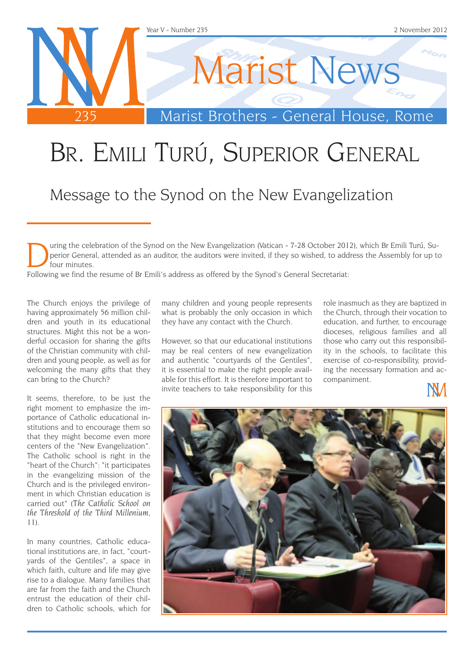

# Br. Emili Turú, Superior General

Message to the Synod on the New Evangelization

uring the celebration of the Synod on the New Evangelization (Vatican - 7-28 October 2012), which Br Emili Turú, Superior General, attended as an auditor, the auditors were invited, if they so wished, to address the Assembly for up to four minutes.

Following we find the resume of Br Emili's address as offered by the Synod's General Secretariat:

The Church enjoys the privilege of having approximately 56 million children and youth in its educational structures. Might this not be a wonderful occasion for sharing the gifts of the Christian community with children and young people, as well as for welcoming the many gifts that they can bring to the Church?

It seems, therefore, to be just the right moment to emphasize the importance of Catholic educational institutions and to encourage them so that they might become even more centers of the "New Evangelization". The Catholic school is right in the "heart of the Church": "it participates in the evangelizing mission of the Church and is the privileged environment in which Christian education is carried out" (*The Catholic School on the Threshold of the Third Millenium*, 11).

In many countries, Catholic educational institutions are, in fact, "courtyards of the Gentiles", a space in which faith, culture and life may give rise to a dialogue. Many families that are far from the faith and the Church entrust the education of their children to Catholic schools, which for

many children and young people represents what is probably the only occasion in which they have any contact with the Church.

However, so that our educational institutions may be real centers of new evangelization and authentic "courtyards of the Gentiles", it is essential to make the right people available for this effort. It is therefore important to invite teachers to take responsibility for this

role inasmuch as they are baptized in the Church, through their vocation to education, and further, to encourage dioceses, religious families and all those who carry out this responsibility in the schools, to facilitate this exercise of co-responsibility, providing the necessary formation and accompaniment.



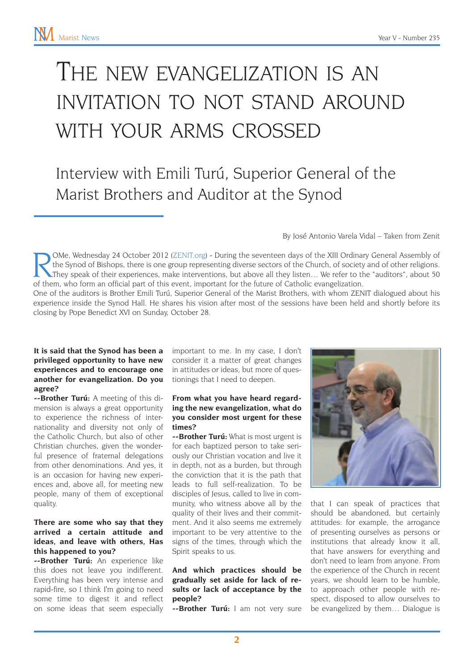## The new evangelization is an invitation to not stand around with your arms crossed

Interview with Emili Turú, Superior General of the Marist Brothers and Auditor at the Synod

By José Antonio Varela Vidal – Taken from Zenit

OMe, Wednesday 24 October 2012 [\(ZENIT.org\)](http://www.zenit.org) - During the seventeen days of the XIII Ordinary General Assembly of<br>They speak of their experiences, make interventions, but above all they listen... We refer to the "auditors", the Synod of Bishops, there is one group representing diverse sectors of the Church, of society and of other religions. of them, who form an official part of this event, important for the future of Catholic evangelization.

One of the auditors is Brother Emili Turú, Superior General of the Marist Brothers, with whom ZENIT dialogued about his experience inside the Synod Hall. He shares his vision after most of the sessions have been held and shortly before its closing by Pope Benedict XVI on Sunday, October 28.

#### **It is said that the Synod has been a privileged opportunity to have new experiences and to encourage one another for evangelization. Do you agree?**

**--Brother Turú:** A meeting of this dimension is always a great opportunity to experience the richness of internationality and diversity not only of the Catholic Church, but also of other Christian churches, given the wonderful presence of fraternal delegations from other denominations. And yes, it is an occasion for having new experiences and, above all, for meeting new people, many of them of exceptional quality.

#### **There are some who say that they arrived a certain attitude and ideas, and leave with others, Has this happened to you?**

**--Brother Turú:** An experience like this does not leave you indifferent. Everything has been very intense and rapid-fire, so I think I'm going to need some time to digest it and reflect on some ideas that seem especially

important to me. In my case, I don't consider it a matter of great changes in attitudes or ideas, but more of questionings that I need to deepen.

#### **From what you have heard regarding the new evangelization, what do you consider most urgent for these times?**

**--Brother Turú:** What is most urgent is for each baptized person to take seriously our Christian vocation and live it in depth, not as a burden, but through the conviction that it is the path that leads to full self-realization. To be disciples of Jesus, called to live in community, who witness above all by the quality of their lives and their commitment. And it also seems me extremely important to be very attentive to the signs of the times, through which the Spirit speaks to us.

#### **And which practices should be gradually set aside for lack of results or lack of acceptance by the people?**

**--Brother Turú:** I am not very sure



that I can speak of practices that should be abandoned, but certainly attitudes: for example, the arrogance of presenting ourselves as persons or institutions that already know it all, that have answers for everything and don't need to learn from anyone. From the experience of the Church in recent years, we should learn to be humble, to approach other people with respect, disposed to allow ourselves to be evangelized by them… Dialogue is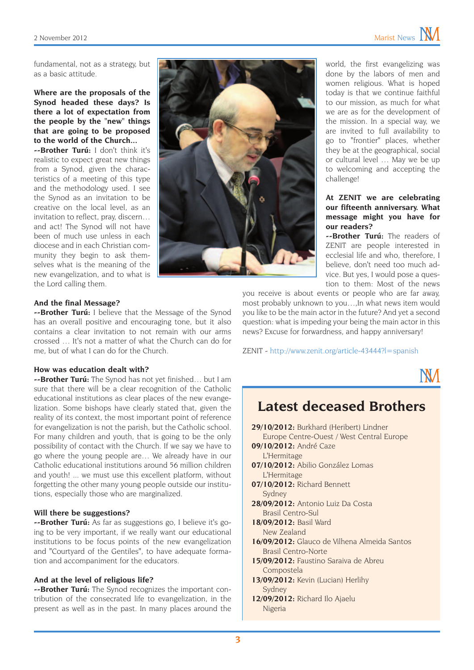fundamental, not as a strategy, but as a basic attitude.

#### **Where are the proposals of the Synod headed these days? Is there a lot of expectation from the people by the "new" things that are going to be proposed to the world of the Church...**

**--Brother Turú:** I don't think it's realistic to expect great new things from a Synod, given the characteristics of a meeting of this type and the methodology used. I see the Synod as an invitation to be creative on the local level, as an invitation to reflect, pray, discern… and act! The Synod will not have been of much use unless in each diocese and in each Christian community they begin to ask themselves what is the meaning of the new evangelization, and to what is the Lord calling them.



#### **And the final Message?**

**--Brother Turú:** I believe that the Message of the Synod has an overall positive and encouraging tone, but it also contains a clear invitation to not remain with our arms crossed … It's not a matter of what the Church can do for me, but of what I can do for the Church.

#### **How was education dealt with?**

**--Brother Turú:** The Synod has not yet finished… but I am sure that there will be a clear recognition of the Catholic educational institutions as clear places of the new evangelization. Some bishops have clearly stated that, given the reality of its context, the most important point of reference for evangelization is not the parish, but the Catholic school. For many children and youth, that is going to be the only possibility of contact with the Church. If we say we have to go where the young people are… We already have in our Catholic educational institutions around 56 million children and youth! ... we must use this excellent platform, without forgetting the other many young people outside our institutions, especially those who are marginalized.

#### **Will there be suggestions?**

**--Brother Turú:** As far as suggestions go, I believe it's going to be very important, if we really want our educational institutions to be focus points of the new evangelization and "Courtyard of the Gentiles", to have adequate formation and accompaniment for the educators.

#### **And at the level of religious life?**

**--Brother Turú:** The Synod recognizes the important contribution of the consecrated life to evangelization, in the present as well as in the past. In many places around the world, the first evangelizing was done by the labors of men and women religious. What is hoped today is that we continue faithful to our mission, as much for what we are as for the development of the mission. In a special way, we are invited to full availability to go to "frontier" places, whether they be at the geographical, social or cultural level … May we be up to welcoming and accepting the challenge!

#### **At ZENIT we are celebrating our fifteenth anniversary. What message might you have for our readers?**

**--Brother Turú:** The readers of ZENIT are people interested in ecclesial life and who, therefore, I believe, don't need too much advice. But yes, I would pose a question to them: Most of the news

you receive is about events or people who are far away, most probably unknown to you…,In what news item would you like to be the main actor in the future? And yet a second question: what is impeding your being the main actor in this news? Excuse for forwardness, and happy anniversary!

ZENIT - <http://www.zenit.org/article-43444?l=spanish>



### **Latest deceased Brothers**

- **29/10/2012:** Burkhard (Heribert) Lindner Europe Centre-Ouest / West Central Europe
- **09/10/2012:** André Caze L'Hermitage
- **07/10/2012:** Abilio González Lomas L'Hermitage
- **07/10/2012:** Richard Bennett Sydney
- **28/09/2012:** Antonio Luiz Da Costa Brasil Centro-Sul
- **18/09/2012:** Basil Ward New Zealand
- **16/09/2012:** Glauco de Vilhena Almeida Santos Brasil Centro-Norte
- **15/09/2012:** Faustino Saraiva de Abreu Compostela
- **13/09/2012:** Kevin (Lucian) Herlihy Sydney
- **12/09/2012:** Richard Ilo Ajaelu Nigeria